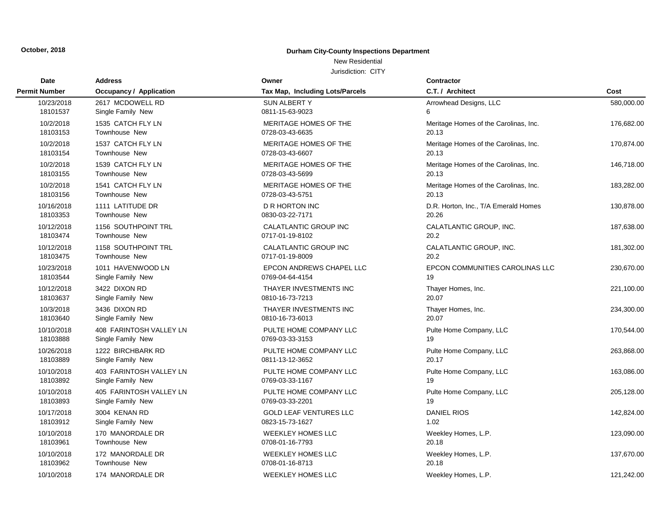### New Residential

| <b>Date</b>          | <b>Address</b>                 | Owner                           | <b>Contractor</b>                     |            |
|----------------------|--------------------------------|---------------------------------|---------------------------------------|------------|
| <b>Permit Number</b> | <b>Occupancy / Application</b> | Tax Map, Including Lots/Parcels | C.T. / Architect                      | Cost       |
| 10/23/2018           | 2617 MCDOWELL RD               | <b>SUN ALBERTY</b>              | Arrowhead Designs, LLC                | 580,000.00 |
| 18101537             | Single Family New              | 0811-15-63-9023                 | 6                                     |            |
| 10/2/2018            | 1535 CATCH FLY LN              | MERITAGE HOMES OF THE           | Meritage Homes of the Carolinas, Inc. | 176,682.00 |
| 18103153             | Townhouse New                  | 0728-03-43-6635                 | 20.13                                 |            |
| 10/2/2018            | 1537 CATCH FLY LN              | MERITAGE HOMES OF THE           | Meritage Homes of the Carolinas, Inc. | 170,874.00 |
| 18103154             | Townhouse New                  | 0728-03-43-6607                 | 20.13                                 |            |
| 10/2/2018            | 1539 CATCH FLY LN              | MERITAGE HOMES OF THE           | Meritage Homes of the Carolinas, Inc. | 146,718.00 |
| 18103155             | Townhouse New                  | 0728-03-43-5699                 | 20.13                                 |            |
| 10/2/2018            | 1541 CATCH FLY LN              | MERITAGE HOMES OF THE           | Meritage Homes of the Carolinas, Inc. | 183,282.00 |
| 18103156             | Townhouse New                  | 0728-03-43-5751                 | 20.13                                 |            |
| 10/16/2018           | 1111 LATITUDE DR               | <b>D R HORTON INC</b>           | D.R. Horton, Inc., T/A Emerald Homes  | 130,878.00 |
| 18103353             | Townhouse New                  | 0830-03-22-7171                 | 20.26                                 |            |
| 10/12/2018           | 1156 SOUTHPOINT TRL            | CALATLANTIC GROUP INC           | CALATLANTIC GROUP, INC.               | 187,638.00 |
| 18103474             | Townhouse New                  | 0717-01-19-8102                 | 20.2                                  |            |
| 10/12/2018           | 1158 SOUTHPOINT TRL            | CALATLANTIC GROUP INC           | CALATLANTIC GROUP, INC.               | 181,302.00 |
| 18103475             | Townhouse New                  | 0717-01-19-8009                 | 20.2                                  |            |
| 10/23/2018           | 1011 HAVENWOOD LN              | EPCON ANDREWS CHAPEL LLC        | EPCON COMMUNITIES CAROLINAS LLC       | 230,670.00 |
| 18103544             | Single Family New              | 0769-04-64-4154                 | 19                                    |            |
| 10/12/2018           | 3422 DIXON RD                  | THAYER INVESTMENTS INC          | Thayer Homes, Inc.                    | 221,100.00 |
| 18103637             | Single Family New              | 0810-16-73-7213                 | 20.07                                 |            |
| 10/3/2018            | 3436 DIXON RD                  | THAYER INVESTMENTS INC          | Thayer Homes, Inc.                    | 234,300.00 |
| 18103640             | Single Family New              | 0810-16-73-6013                 | 20.07                                 |            |
| 10/10/2018           | 408 FARINTOSH VALLEY LN        | PULTE HOME COMPANY LLC          | Pulte Home Company, LLC               | 170,544.00 |
| 18103888             | Single Family New              | 0769-03-33-3153                 | 19                                    |            |
| 10/26/2018           | 1222 BIRCHBARK RD              | PULTE HOME COMPANY LLC          | Pulte Home Company, LLC               | 263,868.00 |
| 18103889             | Single Family New              | 0811-13-12-3652                 | 20.17                                 |            |
| 10/10/2018           | 403 FARINTOSH VALLEY LN        | PULTE HOME COMPANY LLC          | Pulte Home Company, LLC               | 163,086.00 |
| 18103892             | Single Family New              | 0769-03-33-1167                 | 19                                    |            |
| 10/10/2018           | 405 FARINTOSH VALLEY LN        | PULTE HOME COMPANY LLC          | Pulte Home Company, LLC               | 205,128.00 |
| 18103893             | Single Family New              | 0769-03-33-2201                 | 19                                    |            |
| 10/17/2018           | 3004 KENAN RD                  | <b>GOLD LEAF VENTURES LLC</b>   | <b>DANIEL RIOS</b>                    | 142,824.00 |
| 18103912             | Single Family New              | 0823-15-73-1627                 | 1.02                                  |            |
| 10/10/2018           | 170 MANORDALE DR               | <b>WEEKLEY HOMES LLC</b>        | Weekley Homes, L.P.                   | 123,090.00 |
| 18103961             | Townhouse New                  | 0708-01-16-7793                 | 20.18                                 |            |
| 10/10/2018           | 172 MANORDALE DR               | <b>WEEKLEY HOMES LLC</b>        | Weekley Homes, L.P.                   | 137,670.00 |
| 18103962             | Townhouse New                  | 0708-01-16-8713                 | 20.18                                 |            |
| 10/10/2018           | 174 MANORDALE DR               | <b>WEEKLEY HOMES LLC</b>        | Weekley Homes, L.P.                   | 121.242.00 |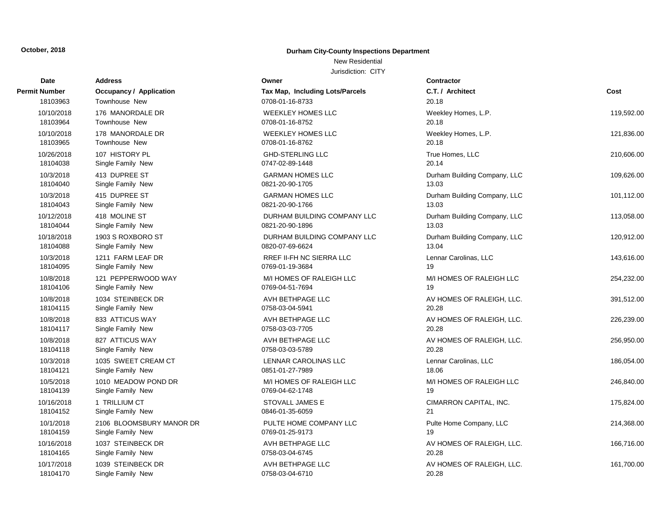### New Residential

| Date                   | <b>Address</b>                                | Owner                                     | <b>Contractor</b>                  |            |
|------------------------|-----------------------------------------------|-------------------------------------------|------------------------------------|------------|
| Permit Number          | <b>Occupancy / Application</b>                | Tax Map, Including Lots/Parcels           | C.T. / Architect                   | Cost       |
| 18103963               | Townhouse New                                 | 0708-01-16-8733                           | 20.18                              |            |
| 10/10/2018             | 176 MANORDALE DR                              | <b>WEEKLEY HOMES LLC</b>                  | Weekley Homes, L.P.                | 119,592.00 |
| 18103964               | Townhouse New                                 | 0708-01-16-8752                           | 20.18                              |            |
| 10/10/2018             | 178 MANORDALE DR                              | <b>WEEKLEY HOMES LLC</b>                  | Weekley Homes, L.P.                | 121,836.00 |
| 18103965               | <b>Townhouse New</b>                          | 0708-01-16-8762                           | 20.18                              |            |
| 10/26/2018             | 107 HISTORY PL                                | <b>GHD-STERLING LLC</b>                   | True Homes, LLC                    | 210,606.00 |
| 18104038               | Single Family New                             | 0747-02-89-1448                           | 20.14                              |            |
| 10/3/2018              | 413 DUPREE ST                                 | <b>GARMAN HOMES LLC</b>                   | Durham Building Company, LLC       | 109,626.00 |
| 18104040               | Single Family New                             | 0821-20-90-1705                           | 13.03                              |            |
| 10/3/2018              | 415 DUPREE ST                                 | <b>GARMAN HOMES LLC</b>                   | Durham Building Company, LLC       | 101,112.00 |
| 18104043               | Single Family New                             | 0821-20-90-1766                           | 13.03                              |            |
| 10/12/2018             | 418 MOLINE ST                                 | DURHAM BUILDING COMPANY LLC               | Durham Building Company, LLC       | 113,058.00 |
| 18104044               | Single Family New                             | 0821-20-90-1896                           | 13.03                              |            |
| 10/18/2018             | 1903 S ROXBORO ST                             | DURHAM BUILDING COMPANY LLC               | Durham Building Company, LLC       | 120,912.00 |
| 18104088               | Single Family New                             | 0820-07-69-6624                           | 13.04                              |            |
| 10/3/2018              | 1211 FARM LEAF DR                             | RREF II-FH NC SIERRA LLC                  | Lennar Carolinas, LLC              | 143,616.00 |
| 18104095               | Single Family New                             | 0769-01-19-3684                           | 19                                 |            |
| 10/8/2018              | 121 PEPPERWOOD WAY                            | M/I HOMES OF RALEIGH LLC                  | M/I HOMES OF RALEIGH LLC           | 254,232.00 |
| 18104106               | Single Family New                             | 0769-04-51-7694                           | 19                                 |            |
| 10/8/2018              | 1034 STEINBECK DR                             | AVH BETHPAGE LLC                          | AV HOMES OF RALEIGH, LLC.          | 391,512.00 |
| 18104115               | Single Family New                             | 0758-03-04-5941                           | 20.28                              |            |
| 10/8/2018              | 833 ATTICUS WAY                               | AVH BETHPAGE LLC                          | AV HOMES OF RALEIGH, LLC.          | 226,239.00 |
| 18104117               | Single Family New                             | 0758-03-03-7705                           | 20.28                              |            |
| 10/8/2018              | 827 ATTICUS WAY                               | AVH BETHPAGE LLC                          | AV HOMES OF RALEIGH, LLC.          | 256,950.00 |
| 18104118               | Single Family New                             | 0758-03-03-5789                           | 20.28                              |            |
| 10/3/2018              | 1035 SWEET CREAM CT                           | LENNAR CAROLINAS LLC                      | Lennar Carolinas, LLC              | 186,054.00 |
| 18104121               | Single Family New                             | 0851-01-27-7989                           | 18.06                              |            |
| 10/5/2018              | 1010 MEADOW POND DR                           | M/I HOMES OF RALEIGH LLC                  | M/I HOMES OF RALEIGH LLC           | 246,840.00 |
| 18104139               | Single Family New                             | 0769-04-62-1748                           | 19                                 |            |
| 10/16/2018             | 1 TRILLIUM CT                                 | STOVALL JAMES E                           | CIMARRON CAPITAL, INC.<br>21       | 175,824.00 |
| 18104152               | Single Family New                             | 0846-01-35-6059                           |                                    |            |
| 10/1/2018<br>18104159  | 2106 BLOOMSBURY MANOR DR<br>Single Family New | PULTE HOME COMPANY LLC<br>0769-01-25-9173 | Pulte Home Company, LLC<br>19      | 214,368.00 |
|                        |                                               |                                           |                                    |            |
| 10/16/2018<br>18104165 | 1037 STEINBECK DR<br>Single Family New        | AVH BETHPAGE LLC<br>0758-03-04-6745       | AV HOMES OF RALEIGH, LLC.<br>20.28 | 166,716.00 |
|                        |                                               |                                           |                                    |            |
| 10/17/2018<br>18104170 | 1039 STEINBECK DR                             | AVH BETHPAGE LLC<br>0758-03-04-6710       | AV HOMES OF RALEIGH, LLC.<br>20.28 | 161,700.00 |
|                        | Single Family New                             |                                           |                                    |            |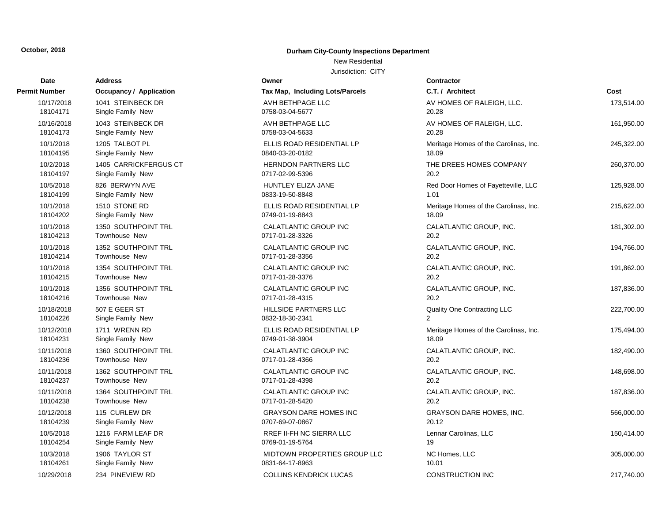### New Residential

| Date                   | <b>Address</b>                       | Owner                                           | <b>Contractor</b>                           |            |
|------------------------|--------------------------------------|-------------------------------------------------|---------------------------------------------|------------|
| Permit Number          | <b>Occupancy / Application</b>       | Tax Map, Including Lots/Parcels                 | C.T. / Architect                            | Cost       |
| 10/17/2018             | 1041 STEINBECK DR                    | AVH BETHPAGE LLC                                | AV HOMES OF RALEIGH, LLC.                   | 173,514.00 |
| 18104171               | Single Family New                    | 0758-03-04-5677                                 | 20.28                                       |            |
| 10/16/2018             | 1043 STEINBECK DR                    | AVH BETHPAGE LLC                                | AV HOMES OF RALEIGH, LLC.                   | 161,950.00 |
| 18104173               | Single Family New                    | 0758-03-04-5633                                 | 20.28                                       |            |
| 10/1/2018              | 1205 TALBOT PL                       | ELLIS ROAD RESIDENTIAL LP                       | Meritage Homes of the Carolinas, Inc.       | 245,322.00 |
| 18104195               | Single Family New                    | 0840-03-20-0182                                 | 18.09                                       |            |
| 10/2/2018<br>18104197  | 1405 CARRICKFERGUS CT                | <b>HERNDON PARTNERS LLC</b><br>0717-02-99-5396  | THE DREES HOMES COMPANY<br>20.2             | 260,370.00 |
|                        | Single Family New                    |                                                 |                                             |            |
| 10/5/2018<br>18104199  | 826 BERWYN AVE<br>Single Family New  | <b>HUNTLEY ELIZA JANE</b><br>0833-19-50-8848    | Red Door Homes of Fayetteville, LLC<br>1.01 | 125,928.00 |
| 10/1/2018              | 1510 STONE RD                        | ELLIS ROAD RESIDENTIAL LP                       | Meritage Homes of the Carolinas, Inc.       | 215,622.00 |
| 18104202               | Single Family New                    | 0749-01-19-8843                                 | 18.09                                       |            |
| 10/1/2018              | 1350 SOUTHPOINT TRL                  | CALATLANTIC GROUP INC                           | CALATLANTIC GROUP, INC.                     | 181,302.00 |
| 18104213               | Townhouse New                        | 0717-01-28-3326                                 | 20.2                                        |            |
| 10/1/2018              | 1352 SOUTHPOINT TRL                  | CALATLANTIC GROUP INC                           | CALATLANTIC GROUP, INC.                     | 194,766.00 |
| 18104214               | Townhouse New                        | 0717-01-28-3356                                 | 20.2                                        |            |
| 10/1/2018              | 1354 SOUTHPOINT TRL                  | CALATLANTIC GROUP INC                           | CALATLANTIC GROUP, INC.                     | 191,862.00 |
| 18104215               | Townhouse New                        | 0717-01-28-3376                                 | 20.2                                        |            |
| 10/1/2018              | 1356 SOUTHPOINT TRL                  | CALATLANTIC GROUP INC                           | CALATLANTIC GROUP, INC.                     | 187,836.00 |
| 18104216               | <b>Townhouse New</b>                 | 0717-01-28-4315                                 | 20.2                                        |            |
| 10/18/2018             | 507 E GEER ST                        | HILLSIDE PARTNERS LLC                           | Quality One Contracting LLC                 | 222,700.00 |
| 18104226               | Single Family New                    | 0832-18-30-2341                                 | $\mathcal{P}$                               |            |
| 10/12/2018             | 1711 WRENN RD                        | ELLIS ROAD RESIDENTIAL LP                       | Meritage Homes of the Carolinas, Inc.       | 175,494.00 |
| 18104231               | Single Family New                    | 0749-01-38-3904                                 | 18.09                                       |            |
| 10/11/2018<br>18104236 | 1360 SOUTHPOINT TRL<br>Townhouse New | <b>CALATLANTIC GROUP INC</b><br>0717-01-28-4366 | CALATLANTIC GROUP, INC.<br>20.2             | 182,490.00 |
| 10/11/2018             | 1362 SOUTHPOINT TRL                  | <b>CALATLANTIC GROUP INC</b>                    |                                             |            |
| 18104237               | <b>Townhouse New</b>                 | 0717-01-28-4398                                 | CALATLANTIC GROUP, INC.<br>20.2             | 148,698.00 |
| 10/11/2018             | 1364 SOUTHPOINT TRL                  | CALATLANTIC GROUP INC                           | CALATLANTIC GROUP, INC.                     | 187,836.00 |
| 18104238               | Townhouse New                        | 0717-01-28-5420                                 | 20.2                                        |            |
| 10/12/2018             | 115 CURLEW DR                        | <b>GRAYSON DARE HOMES INC</b>                   | <b>GRAYSON DARE HOMES, INC.</b>             | 566,000.00 |
| 18104239               | Single Family New                    | 0707-69-07-0867                                 | 20.12                                       |            |
| 10/5/2018              | 1216 FARM LEAF DR                    | RREF II-FH NC SIERRA LLC                        | Lennar Carolinas, LLC                       | 150,414.00 |
| 18104254               | Single Family New                    | 0769-01-19-5764                                 | 19                                          |            |
| 10/3/2018              | 1906 TAYLOR ST                       | MIDTOWN PROPERTIES GROUP LLC                    | NC Homes, LLC                               | 305,000.00 |
| 18104261               | Single Family New                    | 0831-64-17-8963                                 | 10.01                                       |            |
| 10/29/2018             | 234 PINEVIEW RD                      | <b>COLLINS KENDRICK LUCAS</b>                   | <b>CONSTRUCTION INC</b>                     | 217,740.00 |
|                        |                                      |                                                 |                                             |            |

| Date                   | <b>Address</b>                       | Owner                                           |
|------------------------|--------------------------------------|-------------------------------------------------|
| rmit Number            | Occupancy / Application              | Tax Map, Including Lots/Par                     |
| 10/17/2018             | 1041 STEINBECK DR                    | AVH BETHPAGE LLC                                |
| 18104171               | Single Family New                    | 0758-03-04-5677                                 |
| 10/16/2018             | 1043 STEINBECK DR                    | AVH BETHPAGE LLC                                |
| 18104173               | Single Family New                    | 0758-03-04-5633                                 |
| 10/1/2018              | 1205 TALBOT PL                       | ELLIS ROAD RESIDENTIAL I                        |
| 18104195               | Single Family New                    | 0840-03-20-0182                                 |
| 10/2/2018              | 1405 CARRICKFERGUS CT                | <b>HERNDON PARTNERS LLC</b>                     |
| 18104197               | Single Family New                    | 0717-02-99-5396                                 |
| 10/5/2018              | 826 BERWYN AVE                       | HUNTLEY ELIZA JANE                              |
| 18104199               | Single Family New                    | 0833-19-50-8848                                 |
| 10/1/2018<br>18104202  | 1510 STONE RD<br>Single Family New   | ELLIS ROAD RESIDENTIAL I<br>0749-01-19-8843     |
|                        | 1350 SOUTHPOINT TRL                  |                                                 |
| 10/1/2018<br>18104213  | Townhouse New                        | CALATLANTIC GROUP INC<br>0717-01-28-3326        |
| 10/1/2018              | 1352 SOUTHPOINT TRL                  | CALATLANTIC GROUP INC                           |
| 18104214               | Townhouse New                        | 0717-01-28-3356                                 |
| 10/1/2018              | 1354 SOUTHPOINT TRL                  | CALATLANTIC GROUP INC                           |
| 18104215               | Townhouse New                        | 0717-01-28-3376                                 |
| 10/1/2018              | 1356 SOUTHPOINT TRL                  | CALATLANTIC GROUP INC                           |
| 18104216               | Townhouse New                        | 0717-01-28-4315                                 |
| 10/18/2018             | 507 E GEER ST                        | HILLSIDE PARTNERS LLC                           |
| 18104226               | Single Family New                    | 0832-18-30-2341                                 |
| 10/12/2018             | 1711 WRENN RD                        | ELLIS ROAD RESIDENTIAL I                        |
| 18104231               | Single Family New                    | 0749-01-38-3904                                 |
| 10/11/2018             | 1360 SOUTHPOINT TRL                  | CALATLANTIC GROUP INC                           |
| 18104236               | Townhouse New                        | 0717-01-28-4366                                 |
| 10/11/2018<br>18104237 | 1362 SOUTHPOINT TRL<br>Townhouse New | <b>CALATLANTIC GROUP INC</b><br>0717-01-28-4398 |
| 10/11/2018             | 1364 SOUTHPOINT TRL                  | CALATLANTIC GROUP INC                           |
| 18104238               | Townhouse New                        | 0717-01-28-5420                                 |
| 10/12/2018             | 115 CURLEW DR                        | <b>GRAYSON DARE HOMES IN</b>                    |
| 18104239               | Single Family New                    | 0707-69-07-0867                                 |
| 10/5/2018              | 1216 FARM LEAF DR                    | <b>RREF II-FH NC SIERRA LLC</b>                 |
| 18104254               | Single Family New                    | 0769-01-19-5764                                 |
| 10/3/2018              | 1906 TAYLOR ST                       | <b>MIDTOWN PROPERTIES GR</b>                    |
| 18104261               | Single Family New                    | 0831-64-17-8963                                 |
| 10/29/2018             | 234 PINEVIEW RD                      | <b>COLLINS KENDRICK LUCAS</b>                   |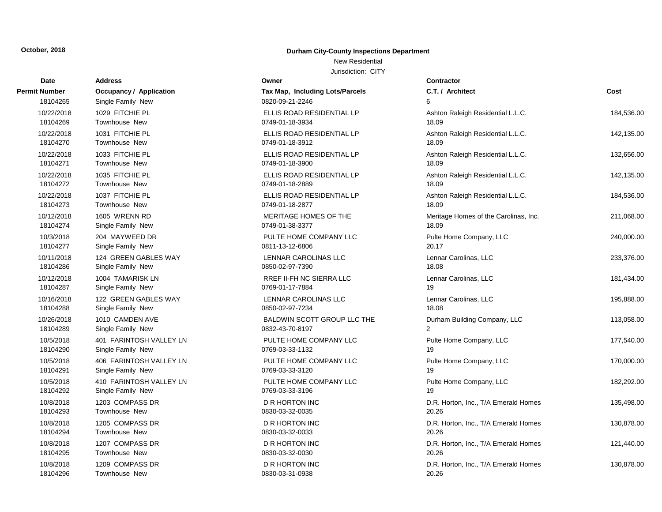### New Residential

| <b>Date</b>            | <b>Address</b>                            | Owner                                                 | <b>Contractor</b>                     |            |
|------------------------|-------------------------------------------|-------------------------------------------------------|---------------------------------------|------------|
| Permit Number          | <b>Occupancy / Application</b>            | Tax Map, Including Lots/Parcels                       | C.T. / Architect                      | Cost       |
| 18104265               | Single Family New                         | 0820-09-21-2246                                       | 6                                     |            |
| 10/22/2018             | 1029 FITCHIE PL                           | ELLIS ROAD RESIDENTIAL LP                             | Ashton Raleigh Residential L.L.C.     | 184,536.00 |
| 18104269               | Townhouse New                             | 0749-01-18-3934                                       | 18.09                                 |            |
| 10/22/2018             | 1031 FITCHIE PL                           | ELLIS ROAD RESIDENTIAL LP                             | Ashton Raleigh Residential L.L.C.     | 142,135.00 |
| 18104270               | Townhouse New                             | 0749-01-18-3912                                       | 18.09                                 |            |
| 10/22/2018             | 1033 FITCHIE PL                           | ELLIS ROAD RESIDENTIAL LP                             | Ashton Raleigh Residential L.L.C.     | 132,656.00 |
| 18104271               | Townhouse New                             | 0749-01-18-3900                                       | 18.09                                 |            |
| 10/22/2018             | 1035 FITCHIE PL                           | ELLIS ROAD RESIDENTIAL LP                             | Ashton Raleigh Residential L.L.C.     | 142,135.00 |
| 18104272               | Townhouse New                             | 0749-01-18-2889                                       | 18.09                                 |            |
| 10/22/2018             | 1037 FITCHIE PL                           | ELLIS ROAD RESIDENTIAL LP                             | Ashton Raleigh Residential L.L.C.     | 184,536.00 |
| 18104273               | Townhouse New                             | 0749-01-18-2877                                       | 18.09                                 |            |
| 10/12/2018             | 1605 WRENN RD                             | MERITAGE HOMES OF THE                                 | Meritage Homes of the Carolinas, Inc. | 211,068.00 |
| 18104274               | Single Family New                         | 0749-01-38-3377                                       | 18.09                                 |            |
| 10/3/2018              | 204 MAYWEED DR                            | PULTE HOME COMPANY LLC                                | Pulte Home Company, LLC               | 240,000.00 |
| 18104277               | Single Family New                         | 0811-13-12-6806                                       | 20.17                                 |            |
| 10/11/2018             | 124 GREEN GABLES WAY                      | LENNAR CAROLINAS LLC                                  | Lennar Carolinas, LLC                 | 233,376.00 |
| 18104286               | Single Family New                         | 0850-02-97-7390                                       | 18.08                                 |            |
| 10/12/2018<br>18104287 | 1004 TAMARISK LN                          | RREF II-FH NC SIERRA LLC                              | Lennar Carolinas, LLC<br>19           | 181,434.00 |
|                        | Single Family New                         | 0769-01-17-7884                                       |                                       |            |
| 10/16/2018<br>18104288 | 122 GREEN GABLES WAY<br>Single Family New | LENNAR CAROLINAS LLC<br>0850-02-97-7234               | Lennar Carolinas, LLC<br>18.08        | 195,888.00 |
|                        |                                           |                                                       |                                       |            |
| 10/26/2018<br>18104289 | 1010 CAMDEN AVE<br>Single Family New      | <b>BALDWIN SCOTT GROUP LLC THE</b><br>0832-43-70-8197 | Durham Building Company, LLC<br>2     | 113,058.00 |
| 10/5/2018              | 401 FARINTOSH VALLEY LN                   | PULTE HOME COMPANY LLC                                | Pulte Home Company, LLC               |            |
| 18104290               | Single Family New                         | 0769-03-33-1132                                       | 19                                    | 177,540.00 |
| 10/5/2018              | 406 FARINTOSH VALLEY LN                   | PULTE HOME COMPANY LLC                                | Pulte Home Company, LLC               | 170,000.00 |
| 18104291               | Single Family New                         | 0769-03-33-3120                                       | 19                                    |            |
| 10/5/2018              | 410 FARINTOSH VALLEY LN                   | PULTE HOME COMPANY LLC                                | Pulte Home Company, LLC               | 182,292.00 |
| 18104292               | Single Family New                         | 0769-03-33-3196                                       | 19                                    |            |
| 10/8/2018              | 1203 COMPASS DR                           | D R HORTON INC                                        | D.R. Horton, Inc., T/A Emerald Homes  | 135,498.00 |
| 18104293               | Townhouse New                             | 0830-03-32-0035                                       | 20.26                                 |            |
| 10/8/2018              | 1205 COMPASS DR                           | D R HORTON INC                                        | D.R. Horton, Inc., T/A Emerald Homes  | 130,878.00 |
| 18104294               | Townhouse New                             | 0830-03-32-0033                                       | 20.26                                 |            |
| 10/8/2018              | 1207 COMPASS DR                           | D R HORTON INC                                        | D.R. Horton, Inc., T/A Emerald Homes  | 121,440.00 |
| 18104295               | Townhouse New                             | 0830-03-32-0030                                       | 20.26                                 |            |
| 10/8/2018              | 1209 COMPASS DR                           | <b>D R HORTON INC</b>                                 | D.R. Horton, Inc., T/A Emerald Homes  | 130,878.00 |
| 18104296               | Townhouse New                             | 0830-03-31-0938                                       | 20.26                                 |            |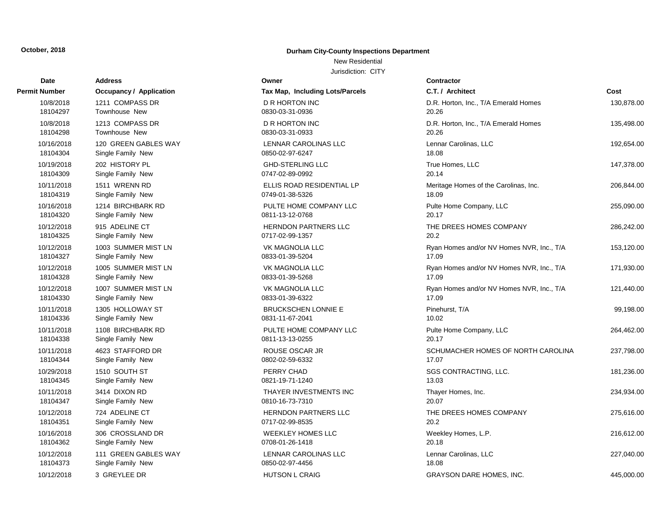# **Address Owner Permit Number COCUPANCY / Application COCUPANCY / Application** 18104373 Single Family New 0850-02-97-4456 18.08 18104362 Single Family New 0708-01-26-1418 20.18104362 0708-01-26-1418 20.1818 20.1818 20.1818 20.18 10/12/2018 111 GREEN GABLES WAY LETTER CAROLINAS LETTER CARDINAL CARDINAL CARDINAL CARDINAL CARDINAL CARDINAL 18104351 Single Family New 0717-02-99-8535 20.20-99-8535 20.20-853-8535 20.20-853 10/16/2018 306 CROSSLAND DR WEEKLEY HOMES LAND HOMES LAND MINOR WEEKLEY HOMES LAND MINOR CONTINUES. 18104347 Single Family New 0810-16-7310 2012 18104345 Single Family New 2021-2022 18104344 Single Family New 0802-59-6332 18104344 O 18104338 Single Family New 0811-13-13-0255 20.17 18104336 Single Family New 083104336 10/11/2018 1108 BIRCHBARK RD PULTE HOME COMPANY LIMITED FOR A PULTE HOME COMPANY L 18104330 Single Family New 33104330 Single Family New 10/11/2018 1305 HOLLOWAY ST 18104328 Single Family New 333-01-39-5268 18104328 0 10/12/2018 1007 SUMMER MIST LN 18104327 Single Family New 33104327 Single Family New 10/12/2018 1005 SUMMER MIST LN 18104325 Single Family New 0717-02-99 10/12/2018 1003 SUMMER MIST LN 18104320 Single Family New 0811-13-12-0812-0768 2012 18104319 Single Family New 0749-01-38-5326 18104319 10/16/2018 1214 BIRCHBARK RD **PULTE HOME COMPANY LETTER** 18104309 Single Family New 0747-02-92-92-92-92-89-00 18104304 Single Family New 0850-02-97-6247 18.08 18104298 Townhouse New 2030-03-31-03-31-03-31-03-31-03-31-03-31-0933 20.36-31-0933 20.36-31-0933 20. 10/16/2018 120 GREEN GABLES WAY L 18104297 Townhouse New 2030-03-31-03-31-03-31-0936 20.36-31-0936 20.36-31-0936 20. 10/8/2018 1211 COMPASS DR 120,978.000 I

#### **October, 2018 Durham City-County Inspections Department**

#### New Residential

| Date      | <b>Address</b>                 | Owner                           | Contractor      |
|-----------|--------------------------------|---------------------------------|-----------------|
| Number    | <b>Occupancy / Application</b> | Tax Map, Including Lots/Parcels | C.T. / Arch     |
| 10/8/2018 | 1211 COMPASS DR                | <b>D R HORTON INC</b>           | D.R. Hortor     |
| 18104297  | Townhouse New                  | 0830-03-31-0936                 | 20.26           |
| 10/8/2018 | 1213 COMPASS DR                | D R HORTON INC                  | D.R. Hortor     |
| 18104298  | <b>Townhouse New</b>           | 0830-03-31-0933                 | 20.26           |
| 0/16/2018 | 120 GREEN GABLES WAY           | LENNAR CAROLINAS LLC            | Lennar Car      |
| 18104304  | Single Family New              | 0850-02-97-6247                 | 18.08           |
| 0/19/2018 | 202 HISTORY PL                 | <b>GHD-STERLING LLC</b>         | True Home       |
| 18104309  | Single Family New              | 0747-02-89-0992                 | 20.14           |
| 0/11/2018 | 1511 WRENN RD                  | ELLIS ROAD RESIDENTIAL LP       | Meritage H      |
| 18104319  | Single Family New              | 0749-01-38-5326                 | 18.09           |
| 0/16/2018 | 1214 BIRCHBARK RD              | PULTE HOME COMPANY LLC          | Pulte Home      |
| 18104320  | Single Family New              | 0811-13-12-0768                 | 20.17           |
| 0/12/2018 | 915 ADELINE CT                 | HERNDON PARTNERS LLC            | THE DREE        |
| 18104325  | Single Family New              | 0717-02-99-1357                 | 20.2            |
| 0/12/2018 | 1003 SUMMER MIST LN            | <b>VK MAGNOLIA LLC</b>          | Ryan Home       |
| 18104327  | Single Family New              | 0833-01-39-5204                 | 17.09           |
| 0/12/2018 | 1005 SUMMER MIST LN            | VK MAGNOLIA LLC                 | Ryan Home       |
| 18104328  | Single Family New              | 0833-01-39-5268                 | 17.09           |
| 0/12/2018 | 1007 SUMMER MIST LN            | VK MAGNOLIA LLC                 | Ryan Home       |
| 18104330  | Single Family New              | 0833-01-39-6322                 | 17.09           |
| 0/11/2018 | 1305 HOLLOWAY ST               | <b>BRUCKSCHEN LONNIE E</b>      | Pinehurst,      |
| 18104336  | Single Family New              | 0831-11-67-2041                 | 10.02           |
| 0/11/2018 | 1108 BIRCHBARK RD              | PULTE HOME COMPANY LLC          | Pulte Home      |
| 18104338  | Single Family New              | 0811-13-13-0255                 | 20.17           |
| 0/11/2018 | 4623 STAFFORD DR               | ROUSE OSCAR JR                  | <b>SCHUMAC</b>  |
| 18104344  | Single Family New              | 0802-02-59-6332                 | 17.07           |
| 0/29/2018 | 1510 SOUTH ST                  | PERRY CHAD                      | <b>SGS CONT</b> |
| 18104345  | Single Family New              | 0821-19-71-1240                 | 13.03           |
| 0/11/2018 | 3414 DIXON RD                  | THAYER INVESTMENTS INC          | Thayer Hor      |
| 18104347  | Single Family New              | 0810-16-73-7310                 | 20.07           |
| 0/12/2018 | 724 ADELINE CT                 | HERNDON PARTNERS LLC            | THE DREE        |
| 18104351  | Single Family New              | 0717-02-99-8535                 | 20.2            |
| 0/16/2018 | 306 CROSSLAND DR               | <b>WEEKLEY HOMES LLC</b>        | Weekley H       |
| 18104362  | Single Family New              | 0708-01-26-1418                 | 20.18           |
| 0/12/2018 | 111 GREEN GABLES WAY           | LENNAR CAROLINAS LLC            | Lennar Car      |
| 18104373  | Single Family New              | 0850-02-97-4456                 | 18.08           |
| 0/12/2018 | 3 GREYLEE DR                   | <b>HUTSON L CRAIG</b>           | <b>GRAYSON</b>  |

| Number     | <b>Occupancy / Application</b> | Tax Map, Including Lots/Parcels | C.T. / Architect                          | Cost       |
|------------|--------------------------------|---------------------------------|-------------------------------------------|------------|
| 10/8/2018  | 1211 COMPASS DR                | D R HORTON INC                  | D.R. Horton, Inc., T/A Emerald Homes      | 130,878.00 |
| 18104297   | Townhouse New                  | 0830-03-31-0936                 | 20.26                                     |            |
| 10/8/2018  | 1213 COMPASS DR                | D R HORTON INC                  | D.R. Horton, Inc., T/A Emerald Homes      | 135,498.00 |
| 18104298   | Townhouse New                  | 0830-03-31-0933                 | 20.26                                     |            |
| 10/16/2018 | 120 GREEN GABLES WAY           | LENNAR CAROLINAS LLC            | Lennar Carolinas, LLC                     | 192,654.00 |
| 18104304   | Single Family New              | 0850-02-97-6247                 | 18.08                                     |            |
| 10/19/2018 | 202 HISTORY PL                 | <b>GHD-STERLING LLC</b>         | True Homes, LLC                           | 147,378.00 |
| 18104309   | Single Family New              | 0747-02-89-0992                 | 20.14                                     |            |
| 10/11/2018 | 1511 WRENN RD                  | ELLIS ROAD RESIDENTIAL LP       | Meritage Homes of the Carolinas, Inc.     | 206,844.00 |
| 18104319   | Single Family New              | 0749-01-38-5326                 | 18.09                                     |            |
| 10/16/2018 | 1214 BIRCHBARK RD              | PULTE HOME COMPANY LLC          | Pulte Home Company, LLC                   | 255,090.00 |
| 18104320   | Single Family New              | 0811-13-12-0768                 | 20.17                                     |            |
| 10/12/2018 | 915 ADELINE CT                 | <b>HERNDON PARTNERS LLC</b>     | THE DREES HOMES COMPANY                   | 286,242.00 |
| 18104325   | Single Family New              | 0717-02-99-1357                 | 20.2                                      |            |
| 10/12/2018 | 1003 SUMMER MIST LN            | <b>VK MAGNOLIA LLC</b>          | Ryan Homes and/or NV Homes NVR, Inc., T/A | 153,120.00 |
| 18104327   | Single Family New              | 0833-01-39-5204                 | 17.09                                     |            |
| 10/12/2018 | 1005 SUMMER MIST LN            | <b>VK MAGNOLIA LLC</b>          | Ryan Homes and/or NV Homes NVR, Inc., T/A | 171,930.00 |
| 18104328   | Single Family New              | 0833-01-39-5268                 | 17.09                                     |            |
| 10/12/2018 | 1007 SUMMER MIST LN            | VK MAGNOLIA LLC                 | Ryan Homes and/or NV Homes NVR, Inc., T/A | 121,440.00 |
| 18104330   | Single Family New              | 0833-01-39-6322                 | 17.09                                     |            |
| 10/11/2018 | 1305 HOLLOWAY ST               | <b>BRUCKSCHEN LONNIE E</b>      | Pinehurst, T/A                            | 99,198.00  |
| 18104336   | Single Family New              | 0831-11-67-2041                 | 10.02                                     |            |
| 10/11/2018 | 1108 BIRCHBARK RD              | PULTE HOME COMPANY LLC          | Pulte Home Company, LLC                   | 264,462.00 |
| 18104338   | Single Family New              | 0811-13-13-0255                 | 20.17                                     |            |
| 10/11/2018 | 4623 STAFFORD DR               | ROUSE OSCAR JR                  | SCHUMACHER HOMES OF NORTH CAROLINA        | 237,798.00 |
| 18104344   | Single Family New              | 0802-02-59-6332                 | 17.07                                     |            |
| 10/29/2018 | 1510 SOUTH ST                  | PERRY CHAD                      | SGS CONTRACTING, LLC.                     | 181,236.00 |
| 18104345   | Single Family New              | 0821-19-71-1240                 | 13.03                                     |            |
| 10/11/2018 | 3414 DIXON RD                  | THAYER INVESTMENTS INC          | Thayer Homes, Inc.                        | 234,934.00 |
| 18104347   | Single Family New              | 0810-16-73-7310                 | 20.07                                     |            |
| 10/12/2018 | 724 ADELINE CT                 | <b>HERNDON PARTNERS LLC</b>     | THE DREES HOMES COMPANY                   | 275,616.00 |
| 18104351   | Single Family New              | 0717-02-99-8535                 | 20.2                                      |            |
| 10/16/2018 | 306 CROSSLAND DR               | <b>WEEKLEY HOMES LLC</b>        | Weekley Homes, L.P.                       | 216,612.00 |
| 18104362   | Single Family New              | 0708-01-26-1418                 | 20.18                                     |            |
| 10/12/2018 | 111 GREEN GABLES WAY           | LENNAR CAROLINAS LLC            | Lennar Carolinas, LLC                     | 227,040.00 |
| 18104373   | Single Family New              | 0850-02-97-4456                 | 18.08                                     |            |
| 10/12/2018 | 3 GREYLEE DR                   | <b>HUTSON L CRAIG</b>           | <b>GRAYSON DARE HOMES, INC.</b>           | 445,000.00 |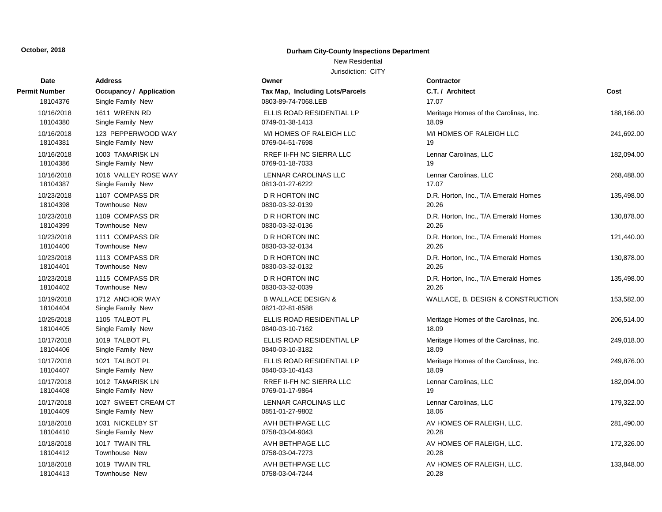18104413 Townhouse New

### **October, 2018 Durham City-County Inspections Department**

#### New Residential

| Date                   | <b>Address</b>                       | Owner                                            | <b>Contractor</b>                     |            |
|------------------------|--------------------------------------|--------------------------------------------------|---------------------------------------|------------|
| <b>Permit Number</b>   | Occupancy / Application              | Tax Map, Including Lots/Parcels                  | C.T. / Architect                      | Cost       |
| 18104376               | Single Family New                    | 0803-89-74-7068.LEB                              | 17.07                                 |            |
| 10/16/2018             | 1611 WRENN RD                        | ELLIS ROAD RESIDENTIAL LP                        | Meritage Homes of the Carolinas, Inc. | 188,166.00 |
| 18104380               | Single Family New                    | 0749-01-38-1413                                  | 18.09                                 |            |
| 10/16/2018             | 123 PEPPERWOOD WAY                   | M/I HOMES OF RALEIGH LLC                         | M/I HOMES OF RALEIGH LLC              | 241,692.00 |
| 18104381               | Single Family New                    | 0769-04-51-7698                                  | 19                                    |            |
| 10/16/2018             | 1003 TAMARISK LN                     | RREF II-FH NC SIERRA LLC                         | Lennar Carolinas, LLC                 | 182,094.00 |
| 18104386               | Single Family New                    | 0769-01-18-7033                                  | 19                                    |            |
| 10/16/2018             | 1016 VALLEY ROSE WAY                 | LENNAR CAROLINAS LLC                             | Lennar Carolinas, LLC                 | 268,488.00 |
| 18104387               | Single Family New                    | 0813-01-27-6222                                  | 17.07                                 |            |
| 10/23/2018             | 1107 COMPASS DR                      | <b>D R HORTON INC</b>                            | D.R. Horton, Inc., T/A Emerald Homes  | 135,498.00 |
| 18104398               | <b>Townhouse New</b>                 | 0830-03-32-0139                                  | 20.26                                 |            |
| 10/23/2018             | 1109 COMPASS DR                      | <b>D R HORTON INC</b>                            | D.R. Horton, Inc., T/A Emerald Homes  | 130,878.00 |
| 18104399               | <b>Townhouse New</b>                 | 0830-03-32-0136                                  | 20.26                                 |            |
| 10/23/2018             | 1111 COMPASS DR                      | <b>D R HORTON INC</b>                            | D.R. Horton, Inc., T/A Emerald Homes  | 121,440.00 |
| 18104400               | Townhouse New                        | 0830-03-32-0134                                  | 20.26                                 |            |
| 10/23/2018             | 1113 COMPASS DR                      | <b>D R HORTON INC</b>                            | D.R. Horton, Inc., T/A Emerald Homes  | 130,878.00 |
| 18104401               | <b>Townhouse New</b>                 | 0830-03-32-0132                                  | 20.26                                 |            |
| 10/23/2018             | 1115 COMPASS DR                      | <b>D R HORTON INC</b>                            | D.R. Horton, Inc., T/A Emerald Homes  | 135,498.00 |
| 18104402               | Townhouse New                        | 0830-03-32-0039                                  | 20.26                                 |            |
| 10/19/2018<br>18104404 | 1712 ANCHOR WAY<br>Single Family New | <b>B WALLACE DESIGN &amp;</b><br>0821-02-81-8588 | WALLACE, B. DESIGN & CONSTRUCTION     | 153,582.00 |
| 10/25/2018             | 1105 TALBOT PL                       | ELLIS ROAD RESIDENTIAL LP                        | Meritage Homes of the Carolinas, Inc. | 206,514.00 |
| 18104405               | Single Family New                    | 0840-03-10-7162                                  | 18.09                                 |            |
| 10/17/2018             | 1019 TALBOT PL                       | ELLIS ROAD RESIDENTIAL LP                        | Meritage Homes of the Carolinas, Inc. | 249,018.00 |
| 18104406               | Single Family New                    | 0840-03-10-3182                                  | 18.09                                 |            |
| 10/17/2018             | 1021 TALBOT PL                       | ELLIS ROAD RESIDENTIAL LP                        | Meritage Homes of the Carolinas, Inc. | 249,876.00 |
| 18104407               | Single Family New                    | 0840-03-10-4143                                  | 18.09                                 |            |
| 10/17/2018             | 1012 TAMARISK LN                     | RREF II-FH NC SIERRA LLC                         | Lennar Carolinas, LLC                 | 182,094.00 |
| 18104408               | Single Family New                    | 0769-01-17-9864                                  | 19                                    |            |
| 10/17/2018             | 1027 SWEET CREAM CT                  | LENNAR CAROLINAS LLC                             | Lennar Carolinas, LLC                 | 179,322.00 |
| 18104409               | Single Family New                    | 0851-01-27-9802                                  | 18.06                                 |            |
| 10/18/2018             | 1031 NICKELBY ST                     | AVH BETHPAGE LLC                                 | AV HOMES OF RALEIGH, LLC.             | 281,490.00 |
| 18104410               | Single Family New                    | 0758-03-04-9043                                  | 20.28                                 |            |
| 10/18/2018             | 1017 TWAIN TRL                       | AVH BETHPAGE LLC                                 | AV HOMES OF RALEIGH, LLC.             | 172,326.00 |
| 18104412               | Townhouse New                        | 0758-03-04-7273                                  | 20.28                                 |            |
| 10/18/2018             | 1019 TWAIN TRL                       | AVH BETHPAGE LLC                                 | AV HOMES OF RALEIGH, LLC.             | 133,848.00 |
| 18104413               | Townhouse New                        | 0758-03-04-7244                                  | 20.28                                 |            |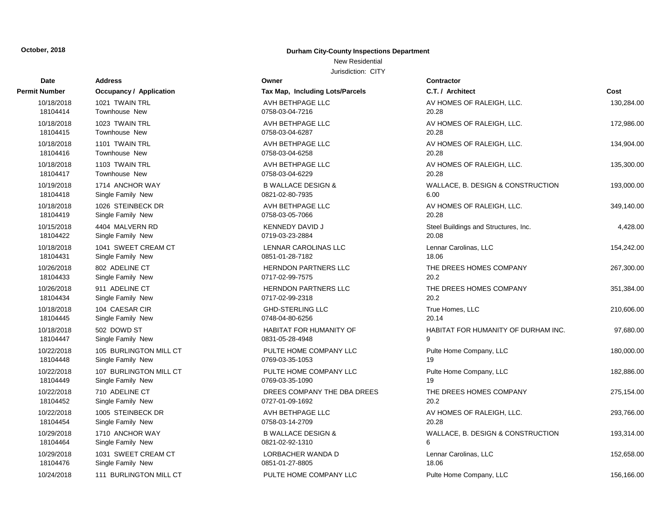#### New Residential

| Date          | <b>Address</b>                 | Owner                           | <b>Contractor</b>                    |            |
|---------------|--------------------------------|---------------------------------|--------------------------------------|------------|
| Permit Number | <b>Occupancy / Application</b> | Tax Map, Including Lots/Parcels | C.T. / Architect                     | Cost       |
| 10/18/2018    | 1021 TWAIN TRL                 | AVH BETHPAGE LLC                | AV HOMES OF RALEIGH, LLC.            | 130,284.00 |
| 18104414      | Townhouse New                  | 0758-03-04-7216                 | 20.28                                |            |
| 10/18/2018    | 1023 TWAIN TRL                 | AVH BETHPAGE LLC                | AV HOMES OF RALEIGH, LLC.            | 172,986.00 |
| 18104415      | Townhouse New                  | 0758-03-04-6287                 | 20.28                                |            |
| 10/18/2018    | 1101 TWAIN TRL                 | AVH BETHPAGE LLC                | AV HOMES OF RALEIGH, LLC.            | 134,904.00 |
| 18104416      | Townhouse New                  | 0758-03-04-6258                 | 20.28                                |            |
| 10/18/2018    | 1103 TWAIN TRL                 | AVH BETHPAGE LLC                | AV HOMES OF RALEIGH, LLC.            | 135,300.00 |
| 18104417      | Townhouse New                  | 0758-03-04-6229                 | 20.28                                |            |
| 10/19/2018    | 1714 ANCHOR WAY                | <b>B WALLACE DESIGN &amp;</b>   | WALLACE, B. DESIGN & CONSTRUCTION    | 193,000.00 |
| 18104418      | Single Family New              | 0821-02-80-7935                 | 6.00                                 |            |
| 10/18/2018    | 1026 STEINBECK DR              | AVH BETHPAGE LLC                | AV HOMES OF RALEIGH, LLC.            | 349,140.00 |
| 18104419      | Single Family New              | 0758-03-05-7066                 | 20.28                                |            |
| 10/15/2018    | 4404 MALVERN RD                | <b>KENNEDY DAVID J</b>          | Steel Buildings and Structures, Inc. | 4,428.00   |
| 18104422      | Single Family New              | 0719-03-23-2884                 | 20.08                                |            |
| 10/18/2018    | 1041 SWEET CREAM CT            | LENNAR CAROLINAS LLC            | Lennar Carolinas, LLC                | 154,242.00 |
| 18104431      | Single Family New              | 0851-01-28-7182                 | 18.06                                |            |
| 10/26/2018    | 802 ADELINE CT                 | <b>HERNDON PARTNERS LLC</b>     | THE DREES HOMES COMPANY              | 267,300.00 |
| 18104433      | Single Family New              | 0717-02-99-7575                 | 20.2                                 |            |
| 10/26/2018    | 911 ADELINE CT                 | <b>HERNDON PARTNERS LLC</b>     | THE DREES HOMES COMPANY              | 351,384.00 |
| 18104434      | Single Family New              | 0717-02-99-2318                 | 20.2                                 |            |
| 10/18/2018    | 104 CAESAR CIR                 | <b>GHD-STERLING LLC</b>         | True Homes, LLC                      | 210,606.00 |
| 18104445      | Single Family New              | 0748-04-80-6256                 | 20.14                                |            |
| 10/18/2018    | 502 DOWD ST                    | <b>HABITAT FOR HUMANITY OF</b>  | HABITAT FOR HUMANITY OF DURHAM INC.  | 97,680.00  |
| 18104447      | Single Family New              | 0831-05-28-4948                 | 9                                    |            |
| 10/22/2018    | 105 BURLINGTON MILL CT         | PULTE HOME COMPANY LLC          | Pulte Home Company, LLC              | 180,000.00 |
| 18104448      | Single Family New              | 0769-03-35-1053                 | 19                                   |            |
| 10/22/2018    | 107 BURLINGTON MILL CT         | PULTE HOME COMPANY LLC          | Pulte Home Company, LLC              | 182,886.00 |
| 18104449      | Single Family New              | 0769-03-35-1090                 | 19                                   |            |
| 10/22/2018    | 710 ADELINE CT                 | DREES COMPANY THE DBA DREES     | THE DREES HOMES COMPANY              | 275,154.00 |
| 18104452      | Single Family New              | 0727-01-09-1692                 | 20.2                                 |            |
| 10/22/2018    | 1005 STEINBECK DR              | AVH BETHPAGE LLC                | AV HOMES OF RALEIGH, LLC.            | 293,766.00 |
| 18104454      | Single Family New              | 0758-03-14-2709                 | 20.28                                |            |
| 10/29/2018    | 1710 ANCHOR WAY                | <b>B WALLACE DESIGN &amp;</b>   | WALLACE, B. DESIGN & CONSTRUCTION    | 193,314.00 |
| 18104464      | Single Family New              | 0821-02-92-1310                 | 6                                    |            |
| 10/29/2018    | 1031 SWEET CREAM CT            | LORBACHER WANDA D               | Lennar Carolinas, LLC                | 152,658.00 |
| 18104476      | Single Family New              | 0851-01-27-8805                 | 18.06                                |            |
| 10/24/2018    | 111 BURLINGTON MILL CT         | PULTE HOME COMPANY LLC          | Pulte Home Company, LLC              | 156,166.00 |